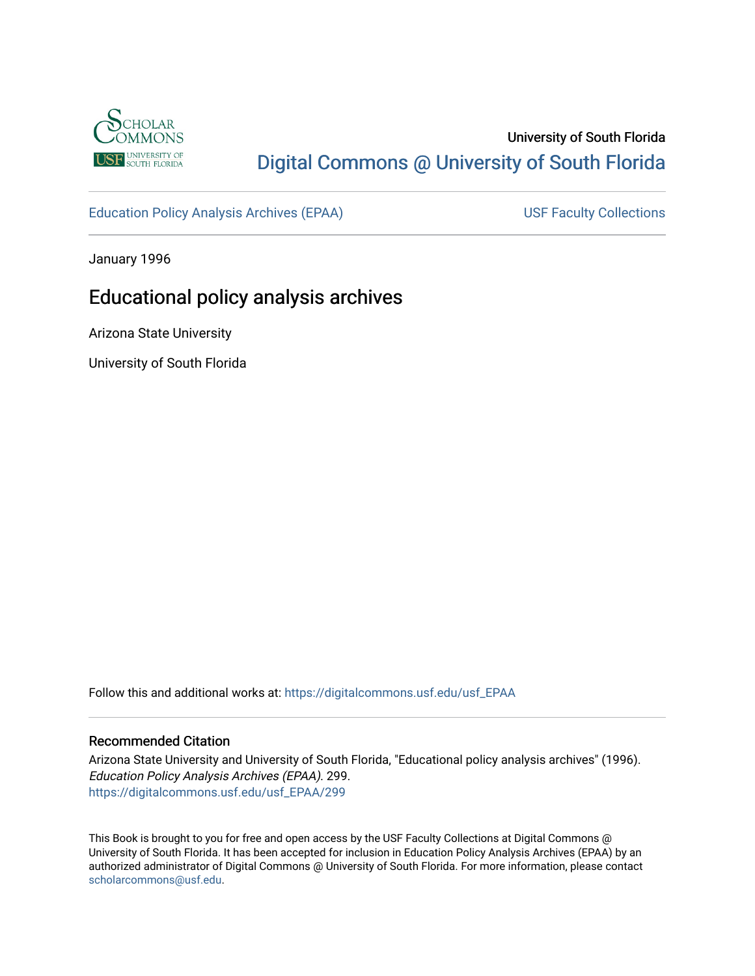

# University of South Florida [Digital Commons @ University of South Florida](https://digitalcommons.usf.edu/)

[Education Policy Analysis Archives \(EPAA\)](https://digitalcommons.usf.edu/usf_EPAA) USF Faculty Collections

January 1996

# Educational policy analysis archives

Arizona State University

University of South Florida

Follow this and additional works at: [https://digitalcommons.usf.edu/usf\\_EPAA](https://digitalcommons.usf.edu/usf_EPAA?utm_source=digitalcommons.usf.edu%2Fusf_EPAA%2F299&utm_medium=PDF&utm_campaign=PDFCoverPages)

#### Recommended Citation

Arizona State University and University of South Florida, "Educational policy analysis archives" (1996). Education Policy Analysis Archives (EPAA). 299. [https://digitalcommons.usf.edu/usf\\_EPAA/299](https://digitalcommons.usf.edu/usf_EPAA/299?utm_source=digitalcommons.usf.edu%2Fusf_EPAA%2F299&utm_medium=PDF&utm_campaign=PDFCoverPages)

This Book is brought to you for free and open access by the USF Faculty Collections at Digital Commons @ University of South Florida. It has been accepted for inclusion in Education Policy Analysis Archives (EPAA) by an authorized administrator of Digital Commons @ University of South Florida. For more information, please contact [scholarcommons@usf.edu.](mailto:scholarcommons@usf.edu)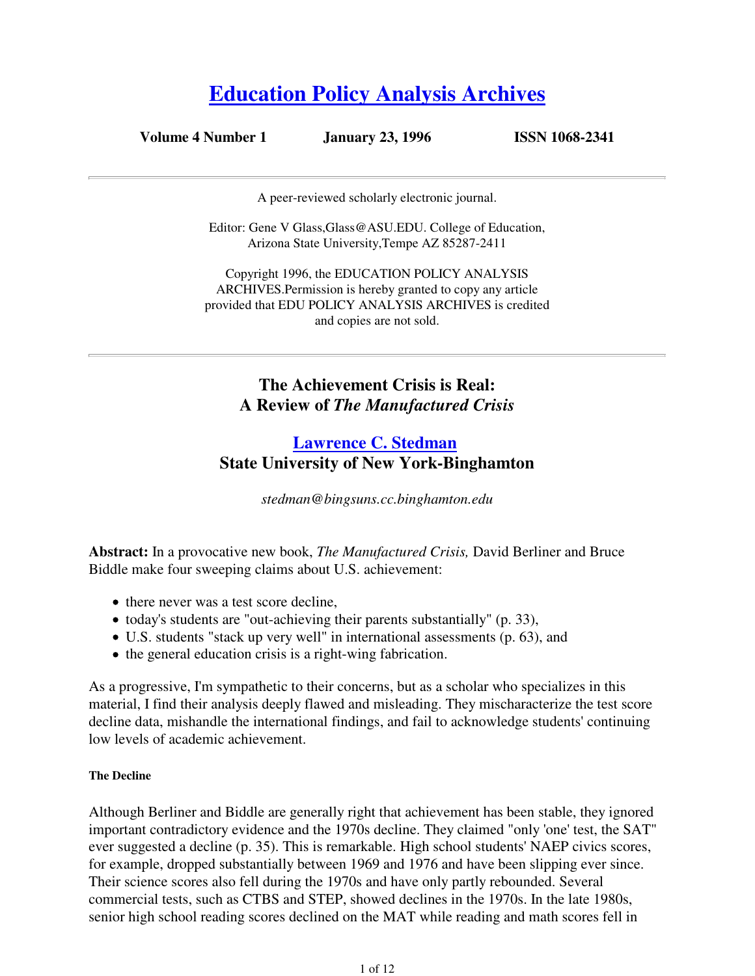# **Education Policy Analysis Archives**

**Volume 4 Number 1 January 23, 1996 ISSN 1068-2341**

A peer-reviewed scholarly electronic journal.

Editor: Gene V Glass,Glass@ASU.EDU. College of Education, Arizona State University,Tempe AZ 85287-2411

Copyright 1996, the EDUCATION POLICY ANALYSIS ARCHIVES.Permission is hereby granted to copy any article provided that EDU POLICY ANALYSIS ARCHIVES is credited and copies are not sold.

> **The Achievement Crisis is Real: A Review of** *The Manufactured Crisis*

# **Lawrence C. Stedman State University of New York-Binghamton**

*stedman@bingsuns.cc.binghamton.edu*

**Abstract:** In a provocative new book, *The Manufactured Crisis,* David Berliner and Bruce Biddle make four sweeping claims about U.S. achievement:

- there never was a test score decline.
- today's students are "out-achieving their parents substantially" (p. 33),
- U.S. students "stack up very well" in international assessments (p. 63), and
- $\bullet$  the general education crisis is a right-wing fabrication.

As a progressive, I'm sympathetic to their concerns, but as a scholar who specializes in this material, I find their analysis deeply flawed and misleading. They mischaracterize the test score decline data, mishandle the international findings, and fail to acknowledge students' continuing low levels of academic achievement.

#### **The Decline**

Although Berliner and Biddle are generally right that achievement has been stable, they ignored important contradictory evidence and the 1970s decline. They claimed "only 'one' test, the SAT" ever suggested a decline (p. 35). This is remarkable. High school students' NAEP civics scores, for example, dropped substantially between 1969 and 1976 and have been slipping ever since. Their science scores also fell during the 1970s and have only partly rebounded. Several commercial tests, such as CTBS and STEP, showed declines in the 1970s. In the late 1980s, senior high school reading scores declined on the MAT while reading and math scores fell in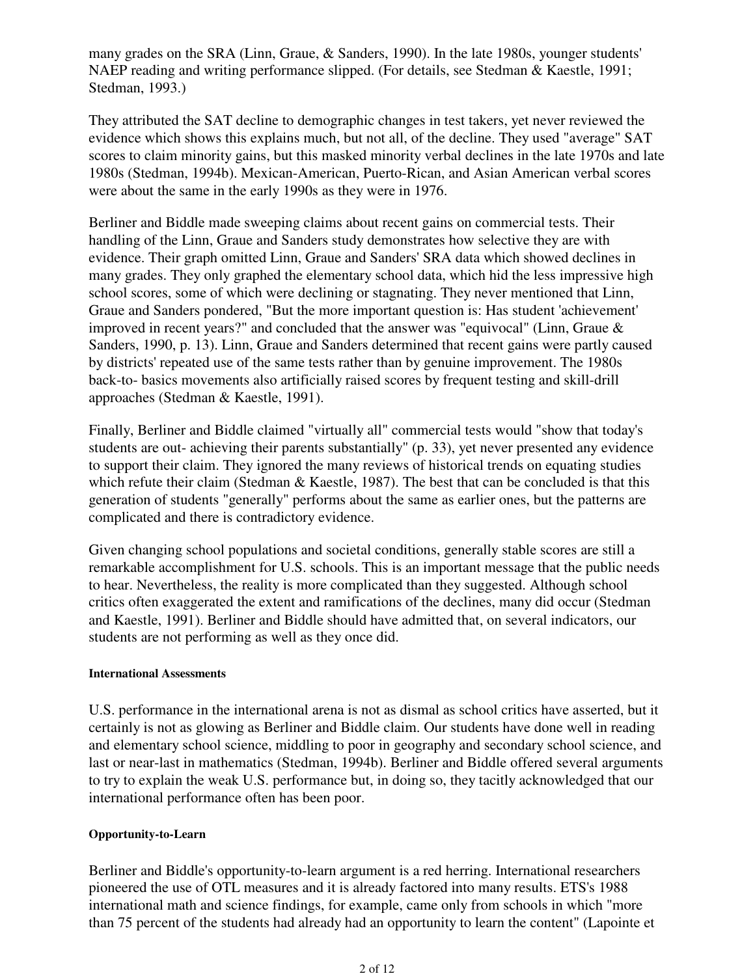many grades on the SRA (Linn, Graue, & Sanders, 1990). In the late 1980s, younger students' NAEP reading and writing performance slipped. (For details, see Stedman & Kaestle, 1991; Stedman, 1993.)

They attributed the SAT decline to demographic changes in test takers, yet never reviewed the evidence which shows this explains much, but not all, of the decline. They used "average" SAT scores to claim minority gains, but this masked minority verbal declines in the late 1970s and late 1980s (Stedman, 1994b). Mexican-American, Puerto-Rican, and Asian American verbal scores were about the same in the early 1990s as they were in 1976.

Berliner and Biddle made sweeping claims about recent gains on commercial tests. Their handling of the Linn, Graue and Sanders study demonstrates how selective they are with evidence. Their graph omitted Linn, Graue and Sanders' SRA data which showed declines in many grades. They only graphed the elementary school data, which hid the less impressive high school scores, some of which were declining or stagnating. They never mentioned that Linn, Graue and Sanders pondered, "But the more important question is: Has student 'achievement' improved in recent years?" and concluded that the answer was "equivocal" (Linn, Graue & Sanders, 1990, p. 13). Linn, Graue and Sanders determined that recent gains were partly caused by districts' repeated use of the same tests rather than by genuine improvement. The 1980s back-to- basics movements also artificially raised scores by frequent testing and skill-drill approaches (Stedman & Kaestle, 1991).

Finally, Berliner and Biddle claimed "virtually all" commercial tests would "show that today's students are out- achieving their parents substantially" (p. 33), yet never presented any evidence to support their claim. They ignored the many reviews of historical trends on equating studies which refute their claim (Stedman & Kaestle, 1987). The best that can be concluded is that this generation of students "generally" performs about the same as earlier ones, but the patterns are complicated and there is contradictory evidence.

Given changing school populations and societal conditions, generally stable scores are still a remarkable accomplishment for U.S. schools. This is an important message that the public needs to hear. Nevertheless, the reality is more complicated than they suggested. Although school critics often exaggerated the extent and ramifications of the declines, many did occur (Stedman and Kaestle, 1991). Berliner and Biddle should have admitted that, on several indicators, our students are not performing as well as they once did.

#### **International Assessments**

U.S. performance in the international arena is not as dismal as school critics have asserted, but it certainly is not as glowing as Berliner and Biddle claim. Our students have done well in reading and elementary school science, middling to poor in geography and secondary school science, and last or near-last in mathematics (Stedman, 1994b). Berliner and Biddle offered several arguments to try to explain the weak U.S. performance but, in doing so, they tacitly acknowledged that our international performance often has been poor.

#### **Opportunity-to-Learn**

Berliner and Biddle's opportunity-to-learn argument is a red herring. International researchers pioneered the use of OTL measures and it is already factored into many results. ETS's 1988 international math and science findings, for example, came only from schools in which "more than 75 percent of the students had already had an opportunity to learn the content" (Lapointe et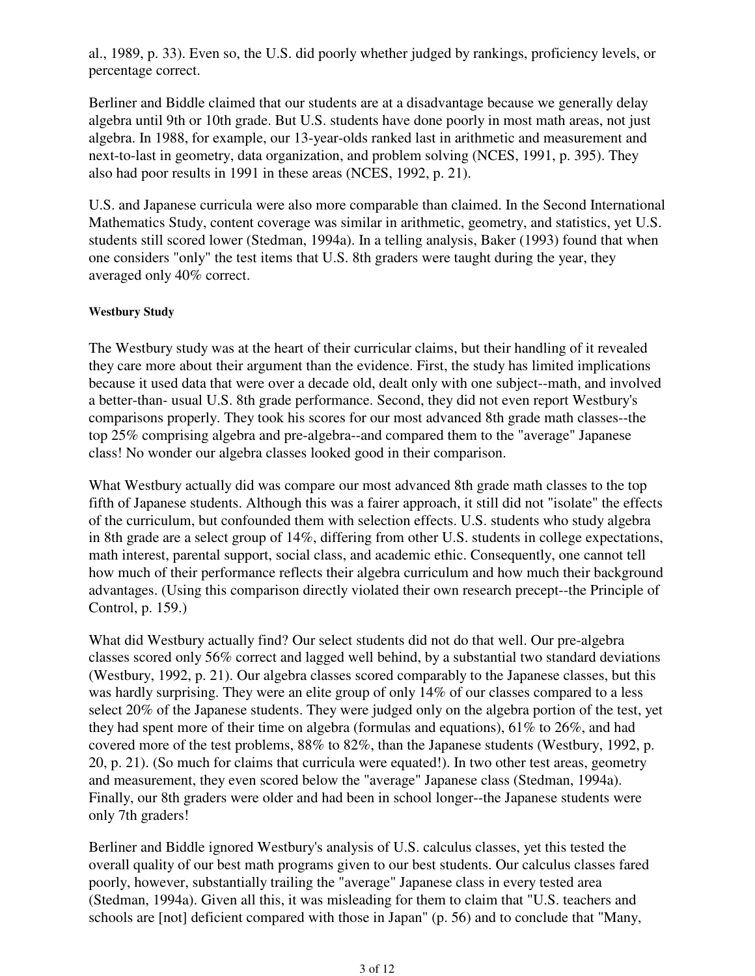al., 1989, p. 33). Even so, the U.S. did poorly whether judged by rankings, proficiency levels, or percentage correct.

Berliner and Biddle claimed that our students are at a disadvantage because we generally delay algebra until 9th or 10th grade. But U.S. students have done poorly in most math areas, not just algebra. In 1988, for example, our 13-year-olds ranked last in arithmetic and measurement and next-to-last in geometry, data organization, and problem solving (NCES, 1991, p. 395). They also had poor results in 1991 in these areas (NCES, 1992, p. 21).

U.S. and Japanese curricula were also more comparable than claimed. In the Second International Mathematics Study, content coverage was similar in arithmetic, geometry, and statistics, yet U.S. students still scored lower (Stedman, 1994a). In a telling analysis, Baker (1993) found that when one considers "only" the test items that U.S. 8th graders were taught during the year, they averaged only 40% correct.

#### **Westbury Study**

The Westbury study was at the heart of their curricular claims, but their handling of it revealed they care more about their argument than the evidence. First, the study has limited implications because it used data that were over a decade old, dealt only with one subject--math, and involved a better-than- usual U.S. 8th grade performance. Second, they did not even report Westbury's comparisons properly. They took his scores for our most advanced 8th grade math classes--the top 25% comprising algebra and pre-algebra--and compared them to the "average" Japanese class! No wonder our algebra classes looked good in their comparison.

What Westbury actually did was compare our most advanced 8th grade math classes to the top fifth of Japanese students. Although this was a fairer approach, it still did not "isolate" the effects of the curriculum, but confounded them with selection effects. U.S. students who study algebra in 8th grade are a select group of 14%, differing from other U.S. students in college expectations, math interest, parental support, social class, and academic ethic. Consequently, one cannot tell how much of their performance reflects their algebra curriculum and how much their background advantages. (Using this comparison directly violated their own research precept--the Principle of Control, p. 159.)

What did Westbury actually find? Our select students did not do that well. Our pre-algebra classes scored only 56% correct and lagged well behind, by a substantial two standard deviations (Westbury, 1992, p. 21). Our algebra classes scored comparably to the Japanese classes, but this was hardly surprising. They were an elite group of only 14% of our classes compared to a less select 20% of the Japanese students. They were judged only on the algebra portion of the test, yet they had spent more of their time on algebra (formulas and equations), 61% to 26%, and had covered more of the test problems, 88% to 82%, than the Japanese students (Westbury, 1992, p. 20, p. 21). (So much for claims that curricula were equated!). In two other test areas, geometry and measurement, they even scored below the "average" Japanese class (Stedman, 1994a). Finally, our 8th graders were older and had been in school longer--the Japanese students were only 7th graders!

Berliner and Biddle ignored Westbury's analysis of U.S. calculus classes, yet this tested the overall quality of our best math programs given to our best students. Our calculus classes fared poorly, however, substantially trailing the "average" Japanese class in every tested area (Stedman, 1994a). Given all this, it was misleading for them to claim that "U.S. teachers and schools are [not] deficient compared with those in Japan" (p. 56) and to conclude that "Many,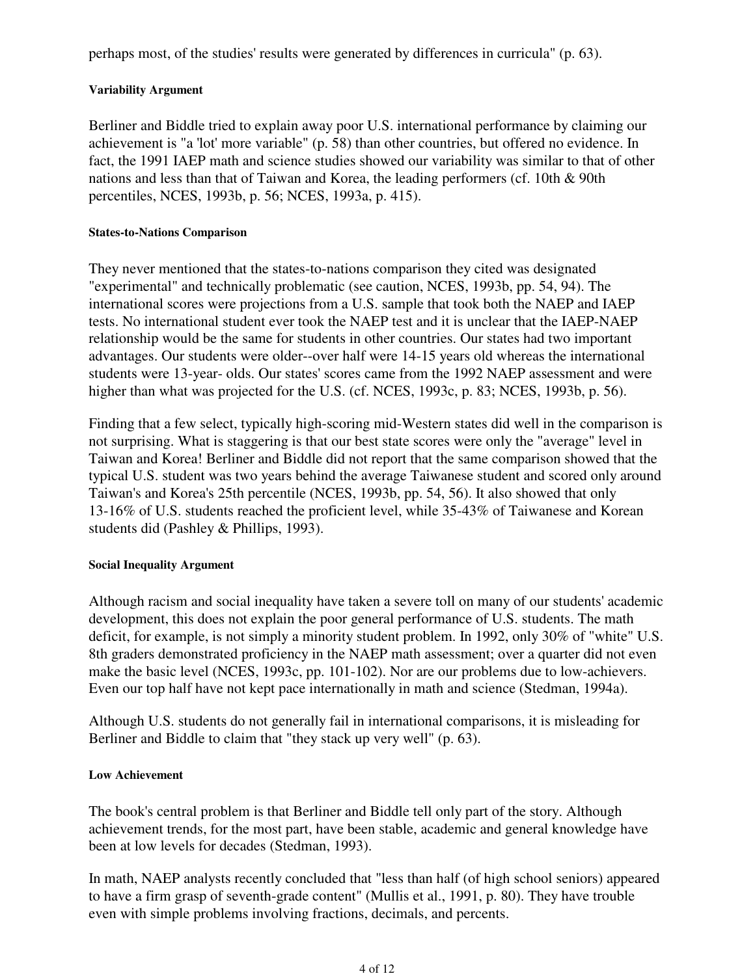perhaps most, of the studies' results were generated by differences in curricula" (p. 63).

#### **Variability Argument**

Berliner and Biddle tried to explain away poor U.S. international performance by claiming our achievement is "a 'lot' more variable" (p. 58) than other countries, but offered no evidence. In fact, the 1991 IAEP math and science studies showed our variability was similar to that of other nations and less than that of Taiwan and Korea, the leading performers (cf. 10th & 90th percentiles, NCES, 1993b, p. 56; NCES, 1993a, p. 415).

#### **States-to-Nations Comparison**

They never mentioned that the states-to-nations comparison they cited was designated "experimental" and technically problematic (see caution, NCES, 1993b, pp. 54, 94). The international scores were projections from a U.S. sample that took both the NAEP and IAEP tests. No international student ever took the NAEP test and it is unclear that the IAEP-NAEP relationship would be the same for students in other countries. Our states had two important advantages. Our students were older--over half were 14-15 years old whereas the international students were 13-year- olds. Our states' scores came from the 1992 NAEP assessment and were higher than what was projected for the U.S. (cf. NCES, 1993c, p. 83; NCES, 1993b, p. 56).

Finding that a few select, typically high-scoring mid-Western states did well in the comparison is not surprising. What is staggering is that our best state scores were only the "average" level in Taiwan and Korea! Berliner and Biddle did not report that the same comparison showed that the typical U.S. student was two years behind the average Taiwanese student and scored only around Taiwan's and Korea's 25th percentile (NCES, 1993b, pp. 54, 56). It also showed that only 13-16% of U.S. students reached the proficient level, while 35-43% of Taiwanese and Korean students did (Pashley & Phillips, 1993).

#### **Social Inequality Argument**

Although racism and social inequality have taken a severe toll on many of our students' academic development, this does not explain the poor general performance of U.S. students. The math deficit, for example, is not simply a minority student problem. In 1992, only 30% of "white" U.S. 8th graders demonstrated proficiency in the NAEP math assessment; over a quarter did not even make the basic level (NCES, 1993c, pp. 101-102). Nor are our problems due to low-achievers. Even our top half have not kept pace internationally in math and science (Stedman, 1994a).

Although U.S. students do not generally fail in international comparisons, it is misleading for Berliner and Biddle to claim that "they stack up very well" (p. 63).

#### **Low Achievement**

The book's central problem is that Berliner and Biddle tell only part of the story. Although achievement trends, for the most part, have been stable, academic and general knowledge have been at low levels for decades (Stedman, 1993).

In math, NAEP analysts recently concluded that "less than half (of high school seniors) appeared to have a firm grasp of seventh-grade content" (Mullis et al., 1991, p. 80). They have trouble even with simple problems involving fractions, decimals, and percents.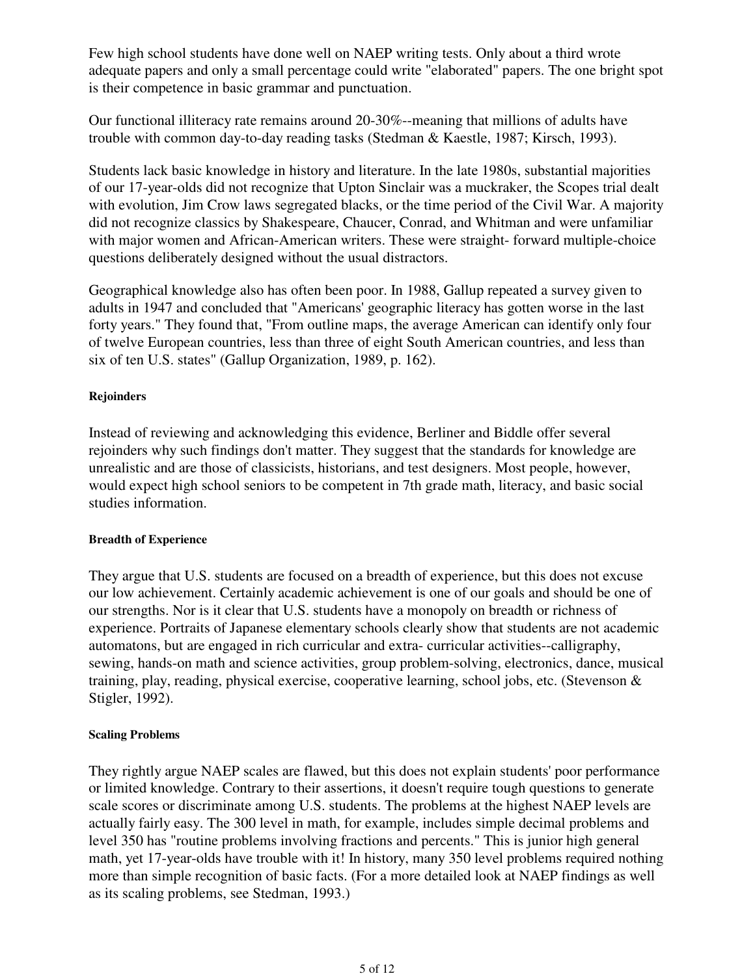Few high school students have done well on NAEP writing tests. Only about a third wrote adequate papers and only a small percentage could write "elaborated" papers. The one bright spot is their competence in basic grammar and punctuation.

Our functional illiteracy rate remains around 20-30%--meaning that millions of adults have trouble with common day-to-day reading tasks (Stedman & Kaestle, 1987; Kirsch, 1993).

Students lack basic knowledge in history and literature. In the late 1980s, substantial majorities of our 17-year-olds did not recognize that Upton Sinclair was a muckraker, the Scopes trial dealt with evolution, Jim Crow laws segregated blacks, or the time period of the Civil War. A majority did not recognize classics by Shakespeare, Chaucer, Conrad, and Whitman and were unfamiliar with major women and African-American writers. These were straight- forward multiple-choice questions deliberately designed without the usual distractors.

Geographical knowledge also has often been poor. In 1988, Gallup repeated a survey given to adults in 1947 and concluded that "Americans' geographic literacy has gotten worse in the last forty years." They found that, "From outline maps, the average American can identify only four of twelve European countries, less than three of eight South American countries, and less than six of ten U.S. states" (Gallup Organization, 1989, p. 162).

#### **Rejoinders**

Instead of reviewing and acknowledging this evidence, Berliner and Biddle offer several rejoinders why such findings don't matter. They suggest that the standards for knowledge are unrealistic and are those of classicists, historians, and test designers. Most people, however, would expect high school seniors to be competent in 7th grade math, literacy, and basic social studies information.

#### **Breadth of Experience**

They argue that U.S. students are focused on a breadth of experience, but this does not excuse our low achievement. Certainly academic achievement is one of our goals and should be one of our strengths. Nor is it clear that U.S. students have a monopoly on breadth or richness of experience. Portraits of Japanese elementary schools clearly show that students are not academic automatons, but are engaged in rich curricular and extra- curricular activities--calligraphy, sewing, hands-on math and science activities, group problem-solving, electronics, dance, musical training, play, reading, physical exercise, cooperative learning, school jobs, etc. (Stevenson & Stigler, 1992).

#### **Scaling Problems**

They rightly argue NAEP scales are flawed, but this does not explain students' poor performance or limited knowledge. Contrary to their assertions, it doesn't require tough questions to generate scale scores or discriminate among U.S. students. The problems at the highest NAEP levels are actually fairly easy. The 300 level in math, for example, includes simple decimal problems and level 350 has "routine problems involving fractions and percents." This is junior high general math, yet 17-year-olds have trouble with it! In history, many 350 level problems required nothing more than simple recognition of basic facts. (For a more detailed look at NAEP findings as well as its scaling problems, see Stedman, 1993.)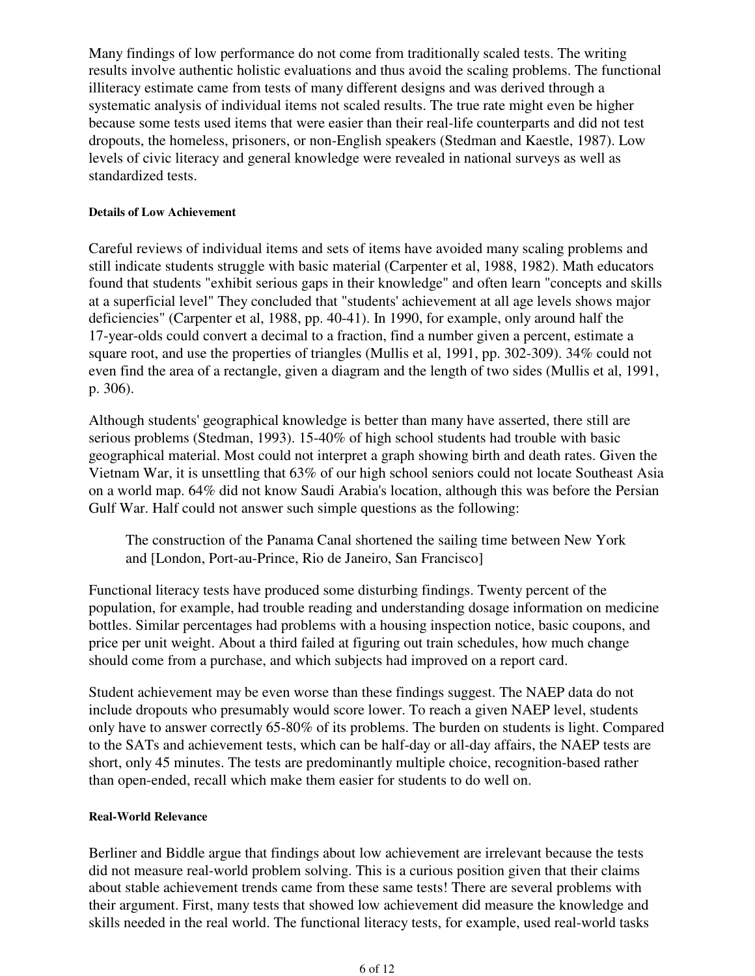Many findings of low performance do not come from traditionally scaled tests. The writing results involve authentic holistic evaluations and thus avoid the scaling problems. The functional illiteracy estimate came from tests of many different designs and was derived through a systematic analysis of individual items not scaled results. The true rate might even be higher because some tests used items that were easier than their real-life counterparts and did not test dropouts, the homeless, prisoners, or non-English speakers (Stedman and Kaestle, 1987). Low levels of civic literacy and general knowledge were revealed in national surveys as well as standardized tests.

#### **Details of Low Achievement**

Careful reviews of individual items and sets of items have avoided many scaling problems and still indicate students struggle with basic material (Carpenter et al, 1988, 1982). Math educators found that students "exhibit serious gaps in their knowledge" and often learn "concepts and skills at a superficial level" They concluded that "students' achievement at all age levels shows major deficiencies" (Carpenter et al, 1988, pp. 40-41). In 1990, for example, only around half the 17-year-olds could convert a decimal to a fraction, find a number given a percent, estimate a square root, and use the properties of triangles (Mullis et al, 1991, pp. 302-309). 34% could not even find the area of a rectangle, given a diagram and the length of two sides (Mullis et al, 1991, p. 306).

Although students' geographical knowledge is better than many have asserted, there still are serious problems (Stedman, 1993). 15-40% of high school students had trouble with basic geographical material. Most could not interpret a graph showing birth and death rates. Given the Vietnam War, it is unsettling that 63% of our high school seniors could not locate Southeast Asia on a world map. 64% did not know Saudi Arabia's location, although this was before the Persian Gulf War. Half could not answer such simple questions as the following:

The construction of the Panama Canal shortened the sailing time between New York and [London, Port-au-Prince, Rio de Janeiro, San Francisco]

Functional literacy tests have produced some disturbing findings. Twenty percent of the population, for example, had trouble reading and understanding dosage information on medicine bottles. Similar percentages had problems with a housing inspection notice, basic coupons, and price per unit weight. About a third failed at figuring out train schedules, how much change should come from a purchase, and which subjects had improved on a report card.

Student achievement may be even worse than these findings suggest. The NAEP data do not include dropouts who presumably would score lower. To reach a given NAEP level, students only have to answer correctly 65-80% of its problems. The burden on students is light. Compared to the SATs and achievement tests, which can be half-day or all-day affairs, the NAEP tests are short, only 45 minutes. The tests are predominantly multiple choice, recognition-based rather than open-ended, recall which make them easier for students to do well on.

#### **Real-World Relevance**

Berliner and Biddle argue that findings about low achievement are irrelevant because the tests did not measure real-world problem solving. This is a curious position given that their claims about stable achievement trends came from these same tests! There are several problems with their argument. First, many tests that showed low achievement did measure the knowledge and skills needed in the real world. The functional literacy tests, for example, used real-world tasks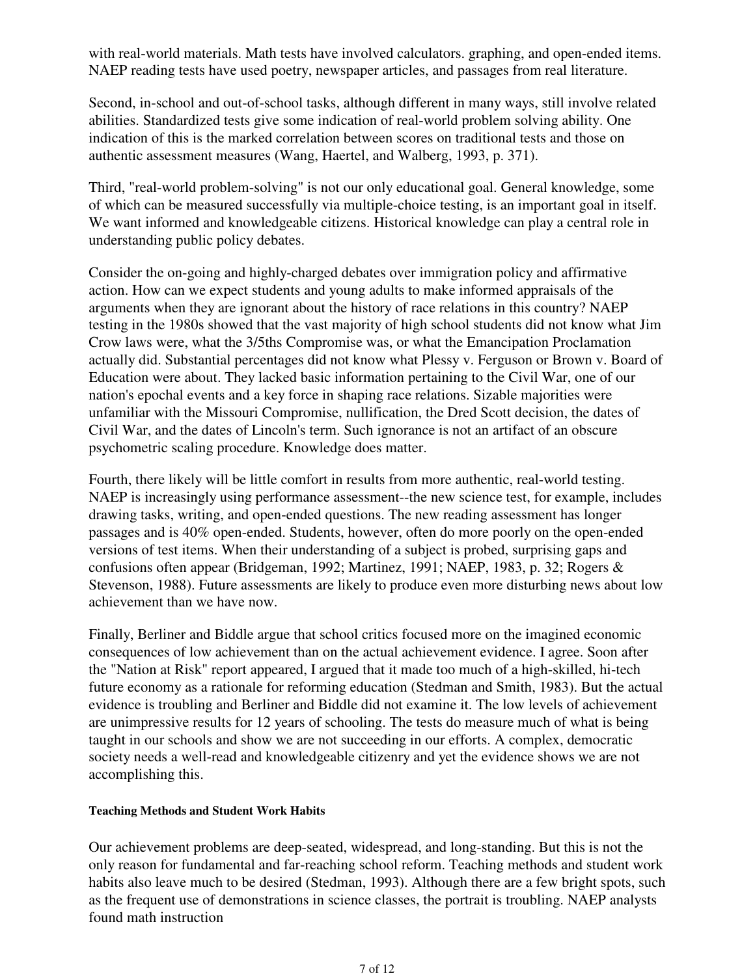with real-world materials. Math tests have involved calculators. graphing, and open-ended items. NAEP reading tests have used poetry, newspaper articles, and passages from real literature.

Second, in-school and out-of-school tasks, although different in many ways, still involve related abilities. Standardized tests give some indication of real-world problem solving ability. One indication of this is the marked correlation between scores on traditional tests and those on authentic assessment measures (Wang, Haertel, and Walberg, 1993, p. 371).

Third, "real-world problem-solving" is not our only educational goal. General knowledge, some of which can be measured successfully via multiple-choice testing, is an important goal in itself. We want informed and knowledgeable citizens. Historical knowledge can play a central role in understanding public policy debates.

Consider the on-going and highly-charged debates over immigration policy and affirmative action. How can we expect students and young adults to make informed appraisals of the arguments when they are ignorant about the history of race relations in this country? NAEP testing in the 1980s showed that the vast majority of high school students did not know what Jim Crow laws were, what the 3/5ths Compromise was, or what the Emancipation Proclamation actually did. Substantial percentages did not know what Plessy v. Ferguson or Brown v. Board of Education were about. They lacked basic information pertaining to the Civil War, one of our nation's epochal events and a key force in shaping race relations. Sizable majorities were unfamiliar with the Missouri Compromise, nullification, the Dred Scott decision, the dates of Civil War, and the dates of Lincoln's term. Such ignorance is not an artifact of an obscure psychometric scaling procedure. Knowledge does matter.

Fourth, there likely will be little comfort in results from more authentic, real-world testing. NAEP is increasingly using performance assessment--the new science test, for example, includes drawing tasks, writing, and open-ended questions. The new reading assessment has longer passages and is 40% open-ended. Students, however, often do more poorly on the open-ended versions of test items. When their understanding of a subject is probed, surprising gaps and confusions often appear (Bridgeman, 1992; Martinez, 1991; NAEP, 1983, p. 32; Rogers & Stevenson, 1988). Future assessments are likely to produce even more disturbing news about low achievement than we have now.

Finally, Berliner and Biddle argue that school critics focused more on the imagined economic consequences of low achievement than on the actual achievement evidence. I agree. Soon after the "Nation at Risk" report appeared, I argued that it made too much of a high-skilled, hi-tech future economy as a rationale for reforming education (Stedman and Smith, 1983). But the actual evidence is troubling and Berliner and Biddle did not examine it. The low levels of achievement are unimpressive results for 12 years of schooling. The tests do measure much of what is being taught in our schools and show we are not succeeding in our efforts. A complex, democratic society needs a well-read and knowledgeable citizenry and yet the evidence shows we are not accomplishing this.

#### **Teaching Methods and Student Work Habits**

Our achievement problems are deep-seated, widespread, and long-standing. But this is not the only reason for fundamental and far-reaching school reform. Teaching methods and student work habits also leave much to be desired (Stedman, 1993). Although there are a few bright spots, such as the frequent use of demonstrations in science classes, the portrait is troubling. NAEP analysts found math instruction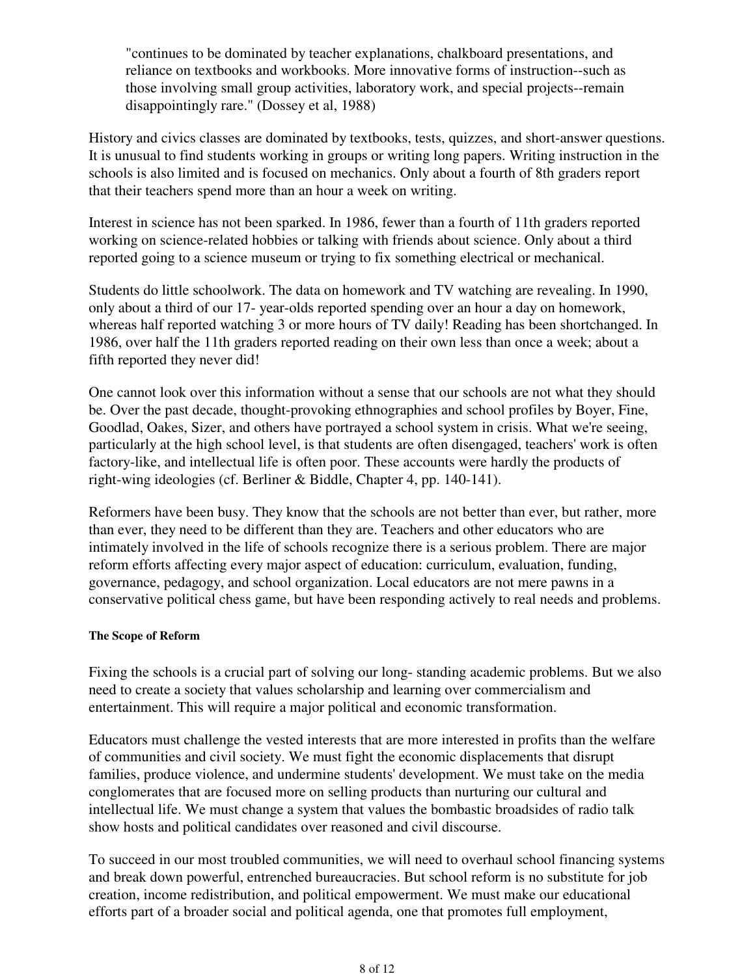"continues to be dominated by teacher explanations, chalkboard presentations, and reliance on textbooks and workbooks. More innovative forms of instruction--such as those involving small group activities, laboratory work, and special projects--remain disappointingly rare." (Dossey et al, 1988)

History and civics classes are dominated by textbooks, tests, quizzes, and short-answer questions. It is unusual to find students working in groups or writing long papers. Writing instruction in the schools is also limited and is focused on mechanics. Only about a fourth of 8th graders report that their teachers spend more than an hour a week on writing.

Interest in science has not been sparked. In 1986, fewer than a fourth of 11th graders reported working on science-related hobbies or talking with friends about science. Only about a third reported going to a science museum or trying to fix something electrical or mechanical.

Students do little schoolwork. The data on homework and TV watching are revealing. In 1990, only about a third of our 17- year-olds reported spending over an hour a day on homework, whereas half reported watching 3 or more hours of TV daily! Reading has been shortchanged. In 1986, over half the 11th graders reported reading on their own less than once a week; about a fifth reported they never did!

One cannot look over this information without a sense that our schools are not what they should be. Over the past decade, thought-provoking ethnographies and school profiles by Boyer, Fine, Goodlad, Oakes, Sizer, and others have portrayed a school system in crisis. What we're seeing, particularly at the high school level, is that students are often disengaged, teachers' work is often factory-like, and intellectual life is often poor. These accounts were hardly the products of right-wing ideologies (cf. Berliner & Biddle, Chapter 4, pp. 140-141).

Reformers have been busy. They know that the schools are not better than ever, but rather, more than ever, they need to be different than they are. Teachers and other educators who are intimately involved in the life of schools recognize there is a serious problem. There are major reform efforts affecting every major aspect of education: curriculum, evaluation, funding, governance, pedagogy, and school organization. Local educators are not mere pawns in a conservative political chess game, but have been responding actively to real needs and problems.

#### **The Scope of Reform**

Fixing the schools is a crucial part of solving our long- standing academic problems. But we also need to create a society that values scholarship and learning over commercialism and entertainment. This will require a major political and economic transformation.

Educators must challenge the vested interests that are more interested in profits than the welfare of communities and civil society. We must fight the economic displacements that disrupt families, produce violence, and undermine students' development. We must take on the media conglomerates that are focused more on selling products than nurturing our cultural and intellectual life. We must change a system that values the bombastic broadsides of radio talk show hosts and political candidates over reasoned and civil discourse.

To succeed in our most troubled communities, we will need to overhaul school financing systems and break down powerful, entrenched bureaucracies. But school reform is no substitute for job creation, income redistribution, and political empowerment. We must make our educational efforts part of a broader social and political agenda, one that promotes full employment,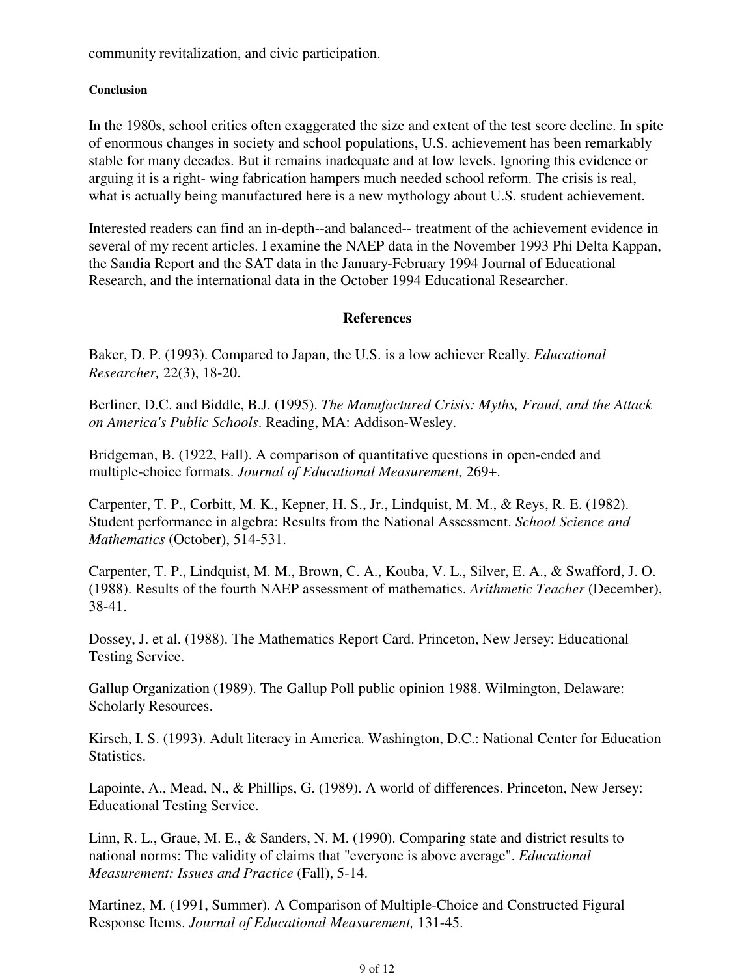community revitalization, and civic participation.

#### **Conclusion**

In the 1980s, school critics often exaggerated the size and extent of the test score decline. In spite of enormous changes in society and school populations, U.S. achievement has been remarkably stable for many decades. But it remains inadequate and at low levels. Ignoring this evidence or arguing it is a right- wing fabrication hampers much needed school reform. The crisis is real, what is actually being manufactured here is a new mythology about U.S. student achievement.

Interested readers can find an in-depth--and balanced-- treatment of the achievement evidence in several of my recent articles. I examine the NAEP data in the November 1993 Phi Delta Kappan, the Sandia Report and the SAT data in the January-February 1994 Journal of Educational Research, and the international data in the October 1994 Educational Researcher.

#### **References**

Baker, D. P. (1993). Compared to Japan, the U.S. is a low achiever Really. *Educational Researcher,* 22(3), 18-20.

Berliner, D.C. and Biddle, B.J. (1995). *The Manufactured Crisis: Myths, Fraud, and the Attack on America's Public Schools*. Reading, MA: Addison-Wesley.

Bridgeman, B. (1922, Fall). A comparison of quantitative questions in open-ended and multiple-choice formats. *Journal of Educational Measurement,* 269+.

Carpenter, T. P., Corbitt, M. K., Kepner, H. S., Jr., Lindquist, M. M., & Reys, R. E. (1982). Student performance in algebra: Results from the National Assessment. *School Science and Mathematics* (October), 514-531.

Carpenter, T. P., Lindquist, M. M., Brown, C. A., Kouba, V. L., Silver, E. A., & Swafford, J. O. (1988). Results of the fourth NAEP assessment of mathematics. *Arithmetic Teacher* (December), 38-41.

Dossey, J. et al. (1988). The Mathematics Report Card. Princeton, New Jersey: Educational Testing Service.

Gallup Organization (1989). The Gallup Poll public opinion 1988. Wilmington, Delaware: Scholarly Resources.

Kirsch, I. S. (1993). Adult literacy in America. Washington, D.C.: National Center for Education Statistics.

Lapointe, A., Mead, N., & Phillips, G. (1989). A world of differences. Princeton, New Jersey: Educational Testing Service.

Linn, R. L., Graue, M. E., & Sanders, N. M. (1990). Comparing state and district results to national norms: The validity of claims that "everyone is above average". *Educational Measurement: Issues and Practice* (Fall), 5-14.

Martinez, M. (1991, Summer). A Comparison of Multiple-Choice and Constructed Figural Response Items. *Journal of Educational Measurement,* 131-45.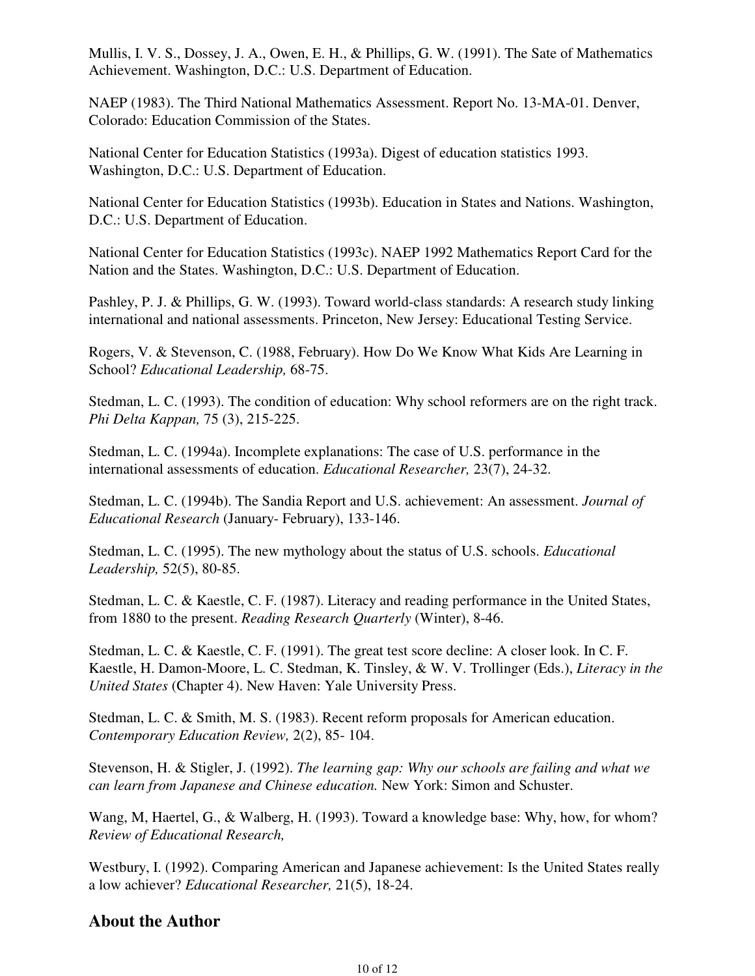Mullis, I. V. S., Dossey, J. A., Owen, E. H., & Phillips, G. W. (1991). The Sate of Mathematics Achievement. Washington, D.C.: U.S. Department of Education.

NAEP (1983). The Third National Mathematics Assessment. Report No. 13-MA-01. Denver, Colorado: Education Commission of the States.

National Center for Education Statistics (1993a). Digest of education statistics 1993. Washington, D.C.: U.S. Department of Education.

National Center for Education Statistics (1993b). Education in States and Nations. Washington, D.C.: U.S. Department of Education.

National Center for Education Statistics (1993c). NAEP 1992 Mathematics Report Card for the Nation and the States. Washington, D.C.: U.S. Department of Education.

Pashley, P. J. & Phillips, G. W. (1993). Toward world-class standards: A research study linking international and national assessments. Princeton, New Jersey: Educational Testing Service.

Rogers, V. & Stevenson, C. (1988, February). How Do We Know What Kids Are Learning in School? *Educational Leadership,* 68-75.

Stedman, L. C. (1993). The condition of education: Why school reformers are on the right track. *Phi Delta Kappan,* 75 (3), 215-225.

Stedman, L. C. (1994a). Incomplete explanations: The case of U.S. performance in the international assessments of education. *Educational Researcher,* 23(7), 24-32.

Stedman, L. C. (1994b). The Sandia Report and U.S. achievement: An assessment. *Journal of Educational Research* (January- February), 133-146.

Stedman, L. C. (1995). The new mythology about the status of U.S. schools. *Educational Leadership,* 52(5), 80-85.

Stedman, L. C. & Kaestle, C. F. (1987). Literacy and reading performance in the United States, from 1880 to the present. *Reading Research Quarterly* (Winter), 8-46.

Stedman, L. C. & Kaestle, C. F. (1991). The great test score decline: A closer look. In C. F. Kaestle, H. Damon-Moore, L. C. Stedman, K. Tinsley, & W. V. Trollinger (Eds.), *Literacy in the United States* (Chapter 4). New Haven: Yale University Press.

Stedman, L. C. & Smith, M. S. (1983). Recent reform proposals for American education. *Contemporary Education Review,* 2(2), 85- 104.

Stevenson, H. & Stigler, J. (1992). *The learning gap: Why our schools are failing and what we can learn from Japanese and Chinese education.* New York: Simon and Schuster.

Wang, M, Haertel, G., & Walberg, H. (1993). Toward a knowledge base: Why, how, for whom? *Review of Educational Research,*

Westbury, I. (1992). Comparing American and Japanese achievement: Is the United States really a low achiever? *Educational Researcher,* 21(5), 18-24.

# **About the Author**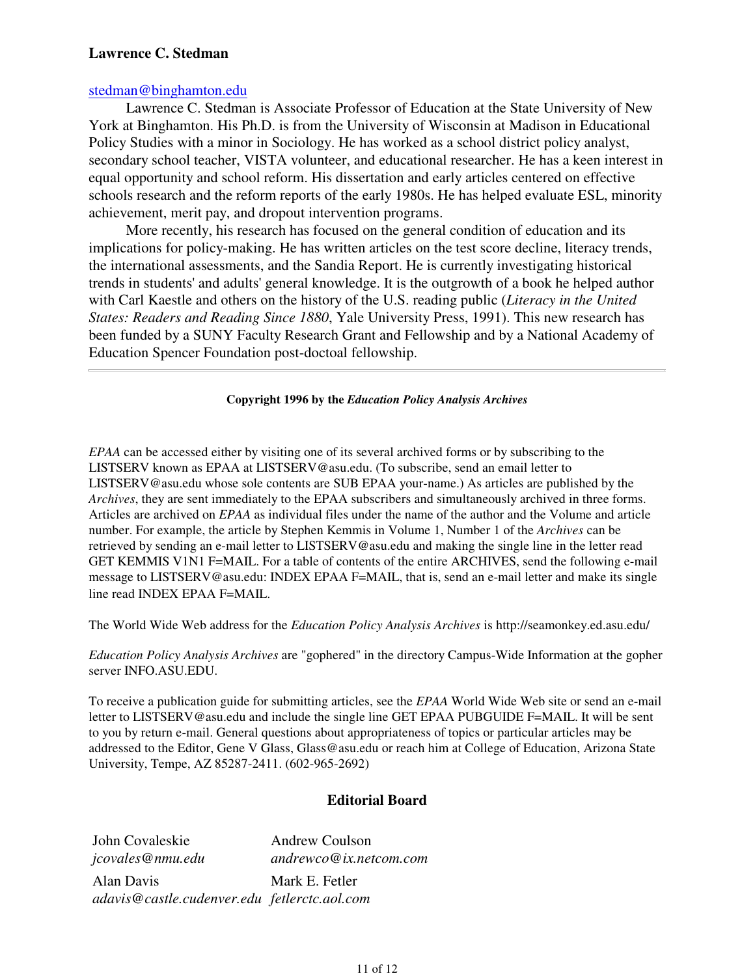#### **Lawrence C. Stedman**

#### stedman@binghamton.edu

Lawrence C. Stedman is Associate Professor of Education at the State University of New York at Binghamton. His Ph.D. is from the University of Wisconsin at Madison in Educational Policy Studies with a minor in Sociology. He has worked as a school district policy analyst, secondary school teacher, VISTA volunteer, and educational researcher. He has a keen interest in equal opportunity and school reform. His dissertation and early articles centered on effective schools research and the reform reports of the early 1980s. He has helped evaluate ESL, minority achievement, merit pay, and dropout intervention programs.

More recently, his research has focused on the general condition of education and its implications for policy-making. He has written articles on the test score decline, literacy trends, the international assessments, and the Sandia Report. He is currently investigating historical trends in students' and adults' general knowledge. It is the outgrowth of a book he helped author with Carl Kaestle and others on the history of the U.S. reading public (*Literacy in the United States: Readers and Reading Since 1880*, Yale University Press, 1991). This new research has been funded by a SUNY Faculty Research Grant and Fellowship and by a National Academy of Education Spencer Foundation post-doctoal fellowship.

#### **Copyright 1996 by the** *Education Policy Analysis Archives*

*EPAA* can be accessed either by visiting one of its several archived forms or by subscribing to the LISTSERV known as EPAA at LISTSERV@asu.edu. (To subscribe, send an email letter to LISTSERV@asu.edu whose sole contents are SUB EPAA your-name.) As articles are published by the *Archives*, they are sent immediately to the EPAA subscribers and simultaneously archived in three forms. Articles are archived on *EPAA* as individual files under the name of the author and the Volume and article number. For example, the article by Stephen Kemmis in Volume 1, Number 1 of the *Archives* can be retrieved by sending an e-mail letter to LISTSERV@asu.edu and making the single line in the letter read GET KEMMIS V1N1 F=MAIL. For a table of contents of the entire ARCHIVES, send the following e-mail message to LISTSERV@asu.edu: INDEX EPAA F=MAIL, that is, send an e-mail letter and make its single line read INDEX EPAA F=MAIL.

The World Wide Web address for the *Education Policy Analysis Archives* is http://seamonkey.ed.asu.edu/

*Education Policy Analysis Archives* are "gophered" in the directory Campus-Wide Information at the gopher server INFO.ASU.EDU.

To receive a publication guide for submitting articles, see the *EPAA* World Wide Web site or send an e-mail letter to LISTSERV@asu.edu and include the single line GET EPAA PUBGUIDE F=MAIL. It will be sent to you by return e-mail. General questions about appropriateness of topics or particular articles may be addressed to the Editor, Gene V Glass, Glass@asu.edu or reach him at College of Education, Arizona State University, Tempe, AZ 85287-2411. (602-965-2692)

#### **Editorial Board**

John Covaleskie *jcovales@nmu.edu* Andrew Coulson *andrewco@ix.netcom.com* Alan Davis *adavis@castle.cudenver.edu fetlerctc.aol.com*Mark E. Fetler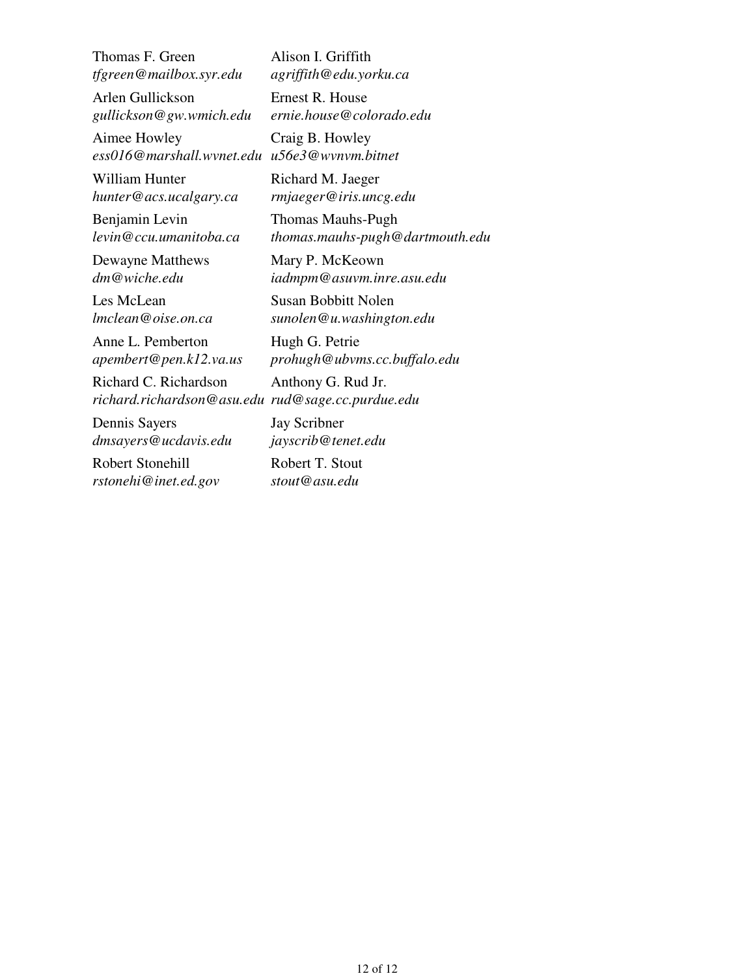Thomas F. Green *tfgreen@mailbox.syr.edu*

Arlen Gullickson *gullickson@gw.wmich.edu*

Aimee Howley *ess016@marshall.wvnet.edu u56e3@wvnvm.bitnet* Craig B. Howley

William Hunter *hunter@acs.ucalgary.ca*

Benjamin Levin *levin@ccu.umanitoba.ca*

Dewayne Matthews *dm@wiche.edu*

Les McLean *lmclean@oise.on.ca*

Anne L. Pemberton *apembert@pen.k12.va.us*

Richard C. Richardson *richard.richardson@asu.edu rud@sage.cc.purdue.edu*

Dennis Sayers *dmsayers@ucdavis.edu*

Robert Stonehill *rstonehi@inet.ed.gov* Alison I. Griffith *agriffith@edu.yorku.ca*

Ernest R. House *ernie.house@colorado.edu*

Richard M. Jaeger *rmjaeger@iris.uncg.edu*

Thomas Mauhs-Pugh *thomas.mauhs-pugh@dartmouth.edu*

Mary P. McKeown *iadmpm@asuvm.inre.asu.edu*

Susan Bobbitt Nolen *sunolen@u.washington.edu*

Hugh G. Petrie *prohugh@ubvms.cc.buffalo.edu*

Anthony G. Rud Jr.

Jay Scribner *jayscrib@tenet.edu*

Robert T. Stout *stout@asu.edu*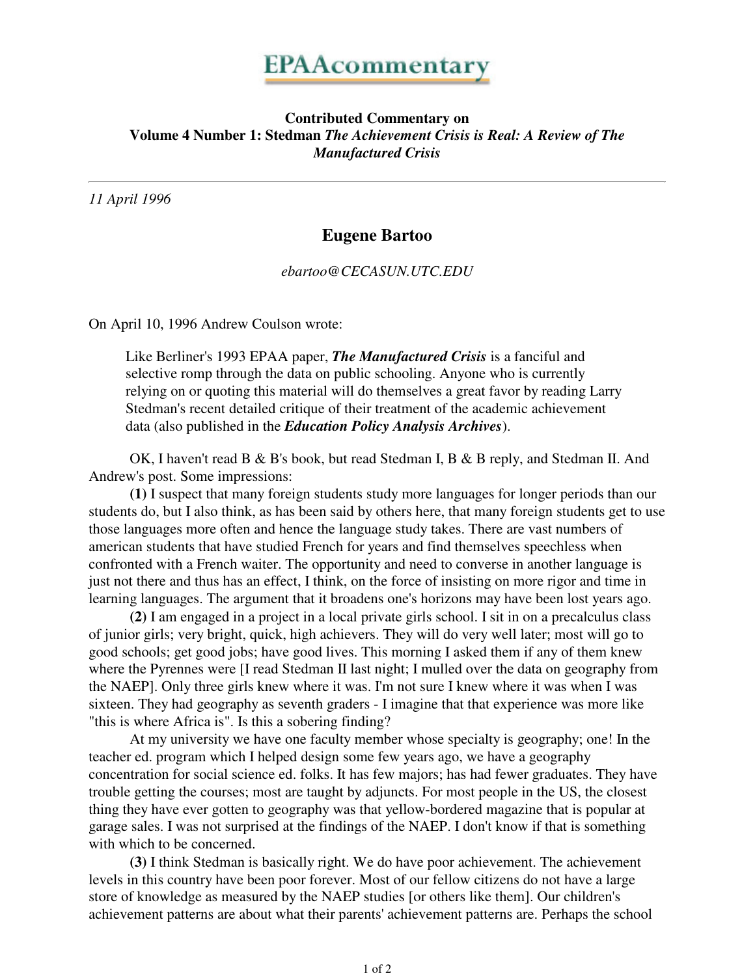## **Contributed Commentary on Volume 4 Number 1: Stedman** *The Achievement Crisis is Real: A Review of The Manufactured Crisis*

*11 April 1996*

# **Eugene Bartoo**

*ebartoo@CECASUN.UTC.EDU*

On April 10, 1996 Andrew Coulson wrote:

Like Berliner's 1993 EPAA paper, *The Manufactured Crisis* is a fanciful and selective romp through the data on public schooling. Anyone who is currently relying on or quoting this material will do themselves a great favor by reading Larry Stedman's recent detailed critique of their treatment of the academic achievement data (also published in the *Education Policy Analysis Archives*).

 OK, I haven't read B & B's book, but read Stedman I, B & B reply, and Stedman II. And Andrew's post. Some impressions:

**(1)** I suspect that many foreign students study more languages for longer periods than our students do, but I also think, as has been said by others here, that many foreign students get to use those languages more often and hence the language study takes. There are vast numbers of american students that have studied French for years and find themselves speechless when confronted with a French waiter. The opportunity and need to converse in another language is just not there and thus has an effect, I think, on the force of insisting on more rigor and time in learning languages. The argument that it broadens one's horizons may have been lost years ago.

**(2)** I am engaged in a project in a local private girls school. I sit in on a precalculus class of junior girls; very bright, quick, high achievers. They will do very well later; most will go to good schools; get good jobs; have good lives. This morning I asked them if any of them knew where the Pyrennes were [I read Stedman II last night; I mulled over the data on geography from the NAEP]. Only three girls knew where it was. I'm not sure I knew where it was when I was sixteen. They had geography as seventh graders - I imagine that that experience was more like "this is where Africa is". Is this a sobering finding?

 At my university we have one faculty member whose specialty is geography; one! In the teacher ed. program which I helped design some few years ago, we have a geography concentration for social science ed. folks. It has few majors; has had fewer graduates. They have trouble getting the courses; most are taught by adjuncts. For most people in the US, the closest thing they have ever gotten to geography was that yellow-bordered magazine that is popular at garage sales. I was not surprised at the findings of the NAEP. I don't know if that is something with which to be concerned.

**(3)** I think Stedman is basically right. We do have poor achievement. The achievement levels in this country have been poor forever. Most of our fellow citizens do not have a large store of knowledge as measured by the NAEP studies [or others like them]. Our children's achievement patterns are about what their parents' achievement patterns are. Perhaps the school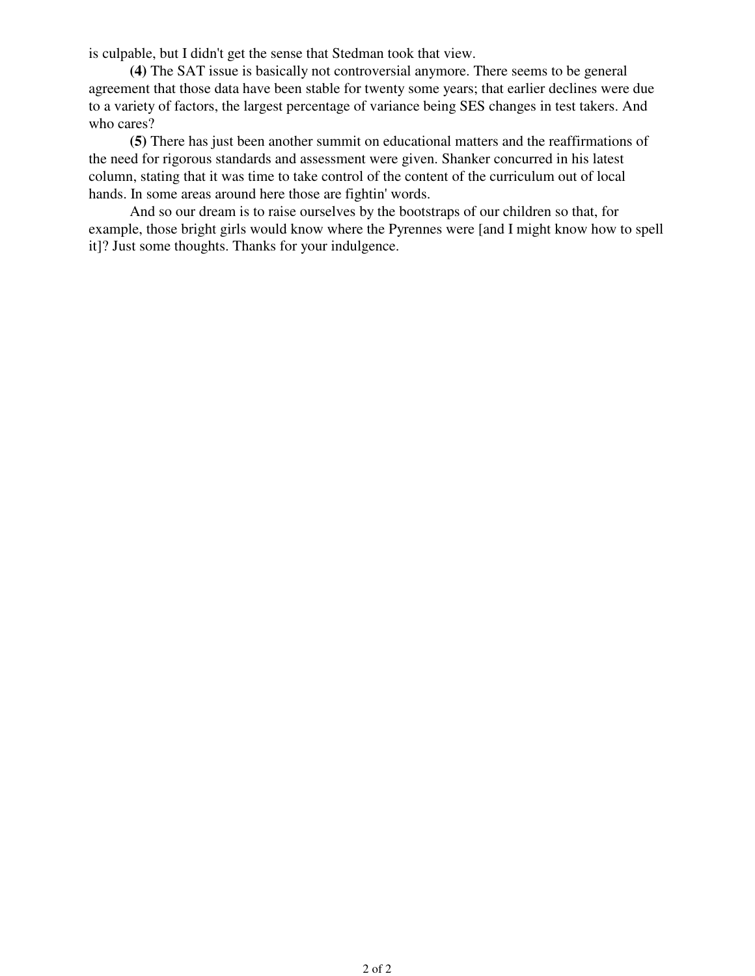is culpable, but I didn't get the sense that Stedman took that view.

**(4)** The SAT issue is basically not controversial anymore. There seems to be general agreement that those data have been stable for twenty some years; that earlier declines were due to a variety of factors, the largest percentage of variance being SES changes in test takers. And who cares?

**(5)** There has just been another summit on educational matters and the reaffirmations of the need for rigorous standards and assessment were given. Shanker concurred in his latest column, stating that it was time to take control of the content of the curriculum out of local hands. In some areas around here those are fightin' words.

 And so our dream is to raise ourselves by the bootstraps of our children so that, for example, those bright girls would know where the Pyrennes were [and I might know how to spell it]? Just some thoughts. Thanks for your indulgence.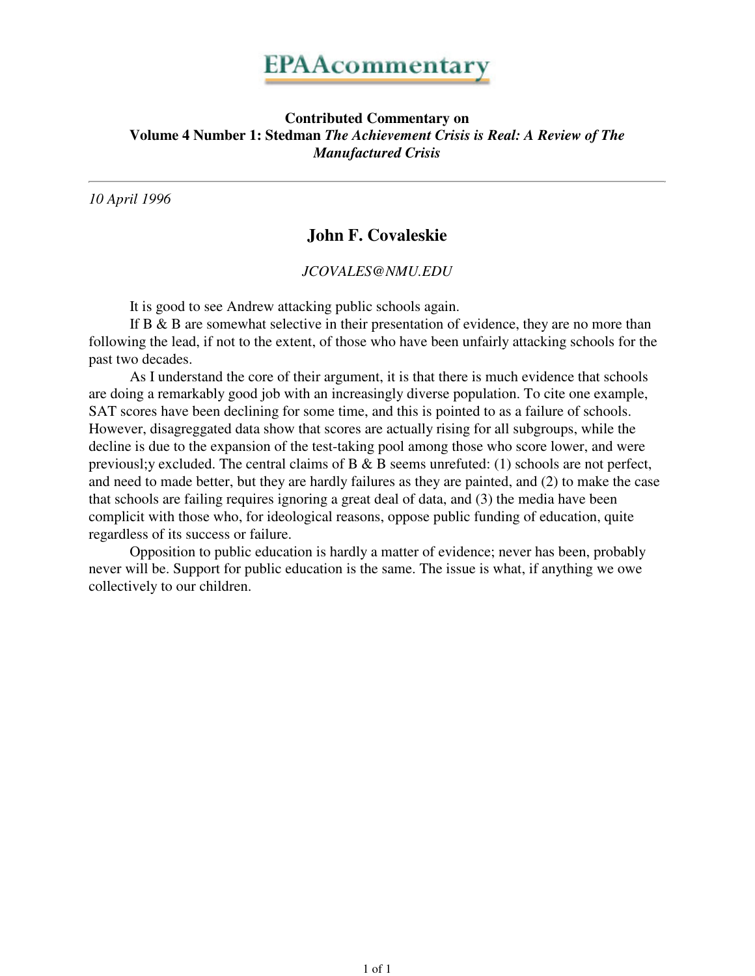## **Contributed Commentary on Volume 4 Number 1: Stedman** *The Achievement Crisis is Real: A Review of The Manufactured Crisis*

*10 April 1996*

# **John F. Covaleskie**

*JCOVALES@NMU.EDU*

It is good to see Andrew attacking public schools again.

If  $B \& B$  are somewhat selective in their presentation of evidence, they are no more than following the lead, if not to the extent, of those who have been unfairly attacking schools for the past two decades.

 As I understand the core of their argument, it is that there is much evidence that schools are doing a remarkably good job with an increasingly diverse population. To cite one example, SAT scores have been declining for some time, and this is pointed to as a failure of schools. However, disagreggated data show that scores are actually rising for all subgroups, while the decline is due to the expansion of the test-taking pool among those who score lower, and were previousl;y excluded. The central claims of B & B seems unrefuted: (1) schools are not perfect, and need to made better, but they are hardly failures as they are painted, and (2) to make the case that schools are failing requires ignoring a great deal of data, and (3) the media have been complicit with those who, for ideological reasons, oppose public funding of education, quite regardless of its success or failure.

 Opposition to public education is hardly a matter of evidence; never has been, probably never will be. Support for public education is the same. The issue is what, if anything we owe collectively to our children.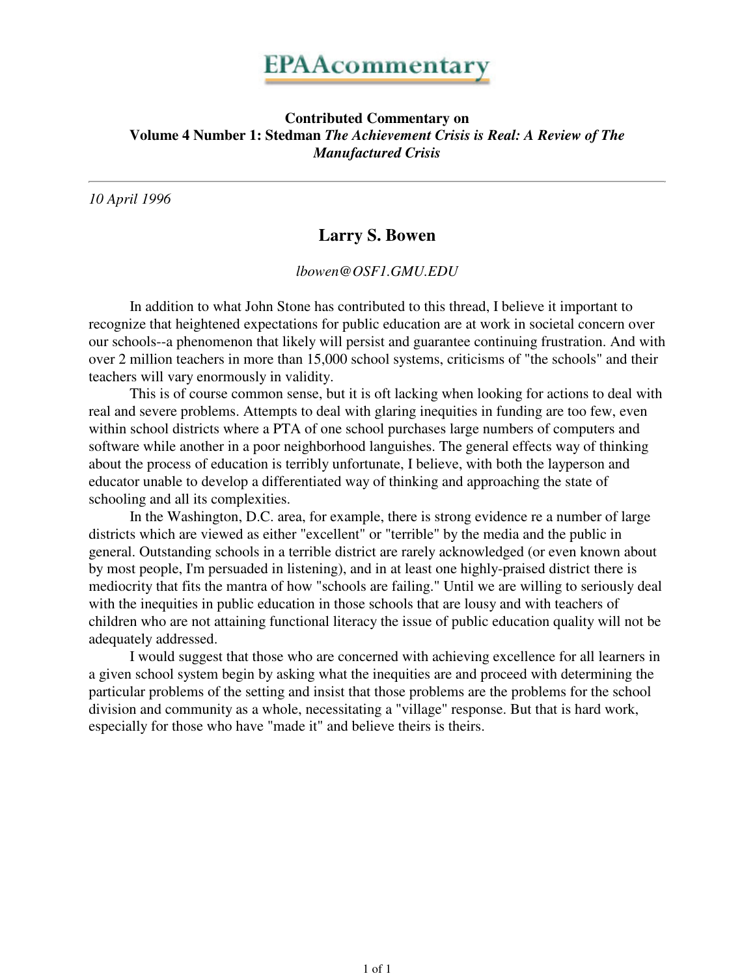### **Contributed Commentary on Volume 4 Number 1: Stedman** *The Achievement Crisis is Real: A Review of The Manufactured Crisis*

*10 April 1996*

# **Larry S. Bowen**

*lbowen@OSF1.GMU.EDU*

 In addition to what John Stone has contributed to this thread, I believe it important to recognize that heightened expectations for public education are at work in societal concern over our schools--a phenomenon that likely will persist and guarantee continuing frustration. And with over 2 million teachers in more than 15,000 school systems, criticisms of "the schools" and their teachers will vary enormously in validity.

 This is of course common sense, but it is oft lacking when looking for actions to deal with real and severe problems. Attempts to deal with glaring inequities in funding are too few, even within school districts where a PTA of one school purchases large numbers of computers and software while another in a poor neighborhood languishes. The general effects way of thinking about the process of education is terribly unfortunate, I believe, with both the layperson and educator unable to develop a differentiated way of thinking and approaching the state of schooling and all its complexities.

 In the Washington, D.C. area, for example, there is strong evidence re a number of large districts which are viewed as either "excellent" or "terrible" by the media and the public in general. Outstanding schools in a terrible district are rarely acknowledged (or even known about by most people, I'm persuaded in listening), and in at least one highly-praised district there is mediocrity that fits the mantra of how "schools are failing." Until we are willing to seriously deal with the inequities in public education in those schools that are lousy and with teachers of children who are not attaining functional literacy the issue of public education quality will not be adequately addressed.

 I would suggest that those who are concerned with achieving excellence for all learners in a given school system begin by asking what the inequities are and proceed with determining the particular problems of the setting and insist that those problems are the problems for the school division and community as a whole, necessitating a "village" response. But that is hard work, especially for those who have "made it" and believe theirs is theirs.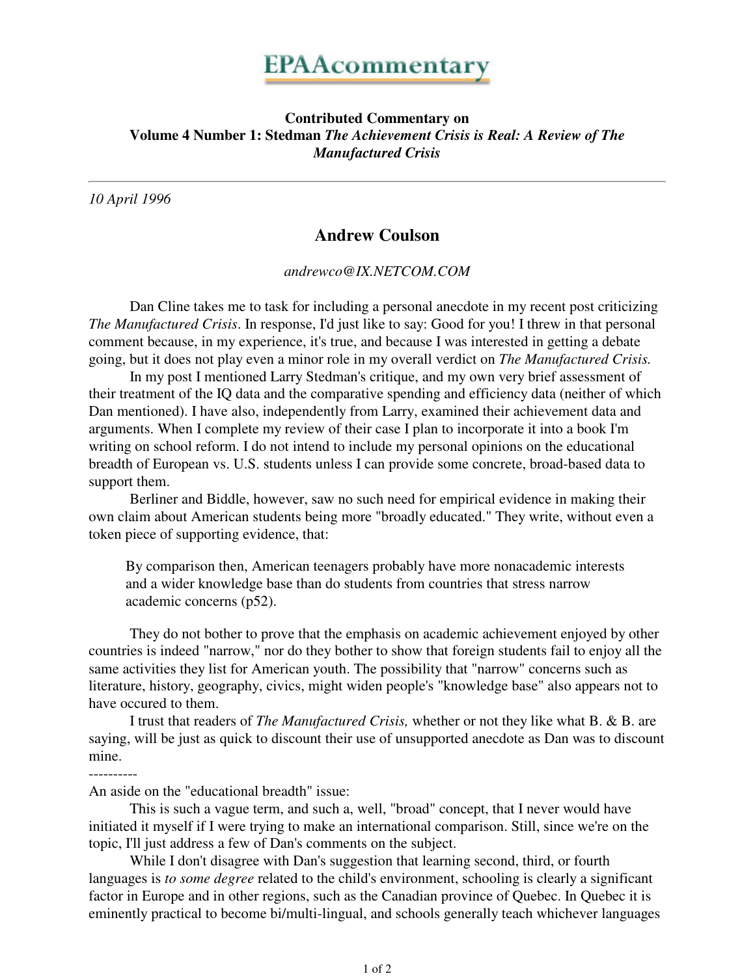## **Contributed Commentary on Volume 4 Number 1: Stedman** *The Achievement Crisis is Real: A Review of The Manufactured Crisis*

*10 April 1996*

# **Andrew Coulson**

*andrewco@IX.NETCOM.COM*

 Dan Cline takes me to task for including a personal anecdote in my recent post criticizing *The Manufactured Crisis*. In response, I'd just like to say: Good for you! I threw in that personal comment because, in my experience, it's true, and because I was interested in getting a debate going, but it does not play even a minor role in my overall verdict on *The Manufactured Crisis.*

 In my post I mentioned Larry Stedman's critique, and my own very brief assessment of their treatment of the IQ data and the comparative spending and efficiency data (neither of which Dan mentioned). I have also, independently from Larry, examined their achievement data and arguments. When I complete my review of their case I plan to incorporate it into a book I'm writing on school reform. I do not intend to include my personal opinions on the educational breadth of European vs. U.S. students unless I can provide some concrete, broad-based data to support them.

 Berliner and Biddle, however, saw no such need for empirical evidence in making their own claim about American students being more "broadly educated." They write, without even a token piece of supporting evidence, that:

By comparison then, American teenagers probably have more nonacademic interests and a wider knowledge base than do students from countries that stress narrow academic concerns (p52).

 They do not bother to prove that the emphasis on academic achievement enjoyed by other countries is indeed "narrow," nor do they bother to show that foreign students fail to enjoy all the same activities they list for American youth. The possibility that "narrow" concerns such as literature, history, geography, civics, might widen people's "knowledge base" also appears not to have occured to them.

 I trust that readers of *The Manufactured Crisis,* whether or not they like what B. & B. are saying, will be just as quick to discount their use of unsupported anecdote as Dan was to discount mine.

An aside on the "educational breadth" issue:

 This is such a vague term, and such a, well, "broad" concept, that I never would have initiated it myself if I were trying to make an international comparison. Still, since we're on the topic, I'll just address a few of Dan's comments on the subject.

 While I don't disagree with Dan's suggestion that learning second, third, or fourth languages is *to some degree* related to the child's environment, schooling is clearly a significant factor in Europe and in other regions, such as the Canadian province of Quebec. In Quebec it is eminently practical to become bi/multi-lingual, and schools generally teach whichever languages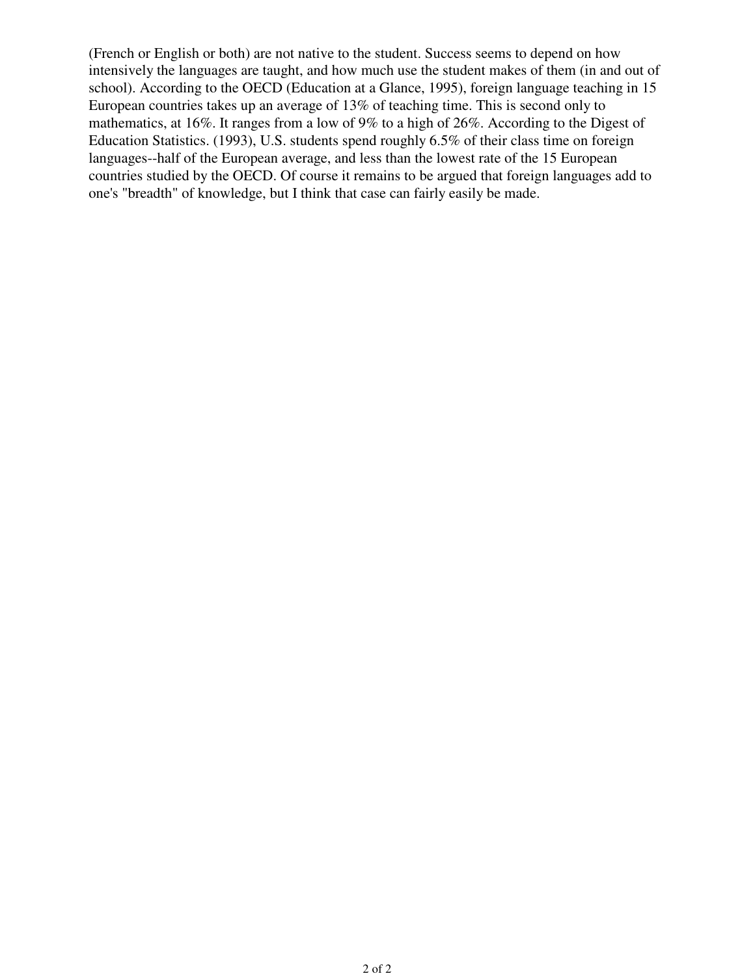(French or English or both) are not native to the student. Success seems to depend on how intensively the languages are taught, and how much use the student makes of them (in and out of school). According to the OECD (Education at a Glance, 1995), foreign language teaching in 15 European countries takes up an average of 13% of teaching time. This is second only to mathematics, at 16%. It ranges from a low of 9% to a high of 26%. According to the Digest of Education Statistics. (1993), U.S. students spend roughly 6.5% of their class time on foreign languages--half of the European average, and less than the lowest rate of the 15 European countries studied by the OECD. Of course it remains to be argued that foreign languages add to one's "breadth" of knowledge, but I think that case can fairly easily be made.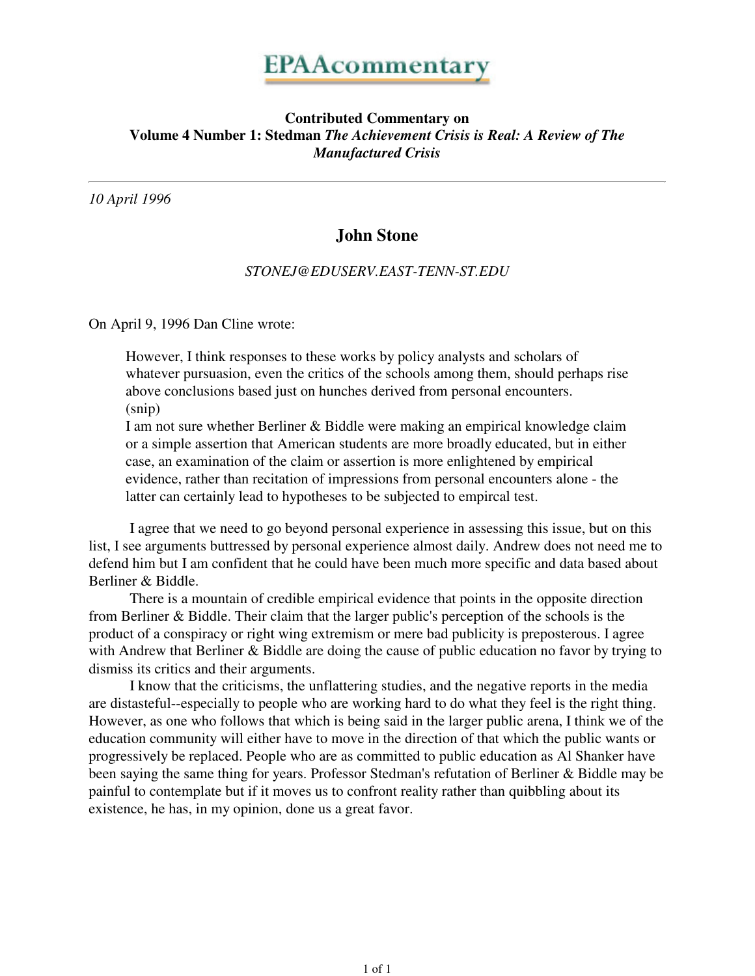## **Contributed Commentary on Volume 4 Number 1: Stedman** *The Achievement Crisis is Real: A Review of The Manufactured Crisis*

*10 April 1996*

# **John Stone**

#### *STONEJ@EDUSERV.EAST-TENN-ST.EDU*

On April 9, 1996 Dan Cline wrote:

However, I think responses to these works by policy analysts and scholars of whatever pursuasion, even the critics of the schools among them, should perhaps rise above conclusions based just on hunches derived from personal encounters. (snip)

I am not sure whether Berliner & Biddle were making an empirical knowledge claim or a simple assertion that American students are more broadly educated, but in either case, an examination of the claim or assertion is more enlightened by empirical evidence, rather than recitation of impressions from personal encounters alone - the latter can certainly lead to hypotheses to be subjected to empircal test.

 I agree that we need to go beyond personal experience in assessing this issue, but on this list, I see arguments buttressed by personal experience almost daily. Andrew does not need me to defend him but I am confident that he could have been much more specific and data based about Berliner & Biddle.

 There is a mountain of credible empirical evidence that points in the opposite direction from Berliner & Biddle. Their claim that the larger public's perception of the schools is the product of a conspiracy or right wing extremism or mere bad publicity is preposterous. I agree with Andrew that Berliner & Biddle are doing the cause of public education no favor by trying to dismiss its critics and their arguments.

 I know that the criticisms, the unflattering studies, and the negative reports in the media are distasteful--especially to people who are working hard to do what they feel is the right thing. However, as one who follows that which is being said in the larger public arena, I think we of the education community will either have to move in the direction of that which the public wants or progressively be replaced. People who are as committed to public education as Al Shanker have been saying the same thing for years. Professor Stedman's refutation of Berliner & Biddle may be painful to contemplate but if it moves us to confront reality rather than quibbling about its existence, he has, in my opinion, done us a great favor.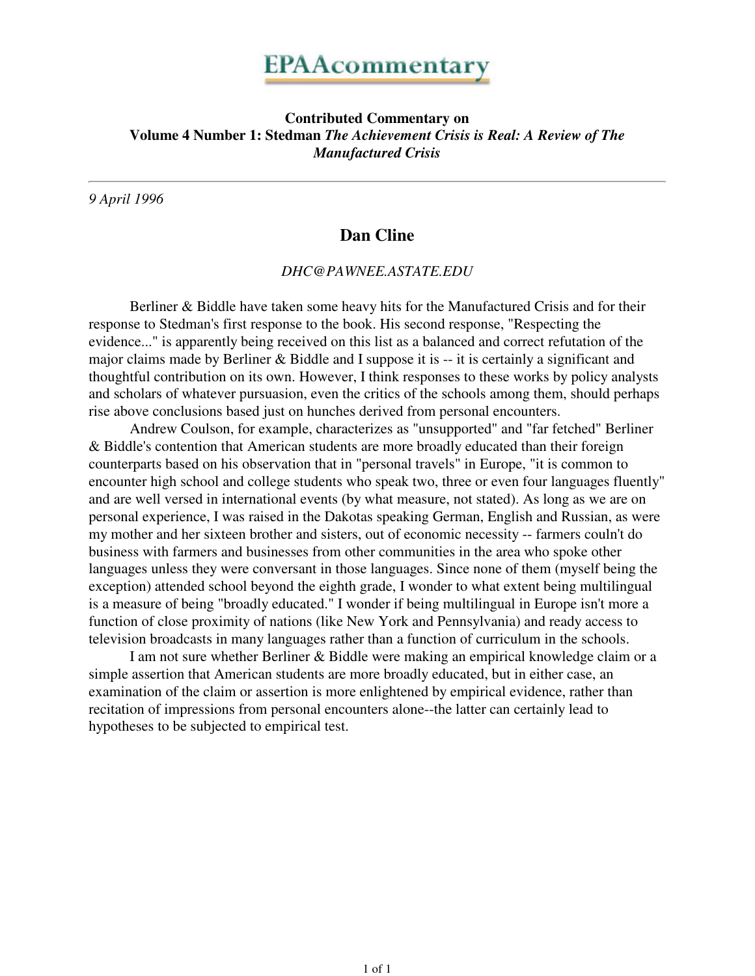### **Contributed Commentary on Volume 4 Number 1: Stedman** *The Achievement Crisis is Real: A Review of The Manufactured Crisis*

*9 April 1996*

## **Dan Cline**

*DHC@PAWNEE.ASTATE.EDU*

 Berliner & Biddle have taken some heavy hits for the Manufactured Crisis and for their response to Stedman's first response to the book. His second response, "Respecting the evidence..." is apparently being received on this list as a balanced and correct refutation of the major claims made by Berliner & Biddle and I suppose it is -- it is certainly a significant and thoughtful contribution on its own. However, I think responses to these works by policy analysts and scholars of whatever pursuasion, even the critics of the schools among them, should perhaps rise above conclusions based just on hunches derived from personal encounters.

 Andrew Coulson, for example, characterizes as "unsupported" and "far fetched" Berliner & Biddle's contention that American students are more broadly educated than their foreign counterparts based on his observation that in "personal travels" in Europe, "it is common to encounter high school and college students who speak two, three or even four languages fluently" and are well versed in international events (by what measure, not stated). As long as we are on personal experience, I was raised in the Dakotas speaking German, English and Russian, as were my mother and her sixteen brother and sisters, out of economic necessity -- farmers couln't do business with farmers and businesses from other communities in the area who spoke other languages unless they were conversant in those languages. Since none of them (myself being the exception) attended school beyond the eighth grade, I wonder to what extent being multilingual is a measure of being "broadly educated." I wonder if being multilingual in Europe isn't more a function of close proximity of nations (like New York and Pennsylvania) and ready access to television broadcasts in many languages rather than a function of curriculum in the schools.

 I am not sure whether Berliner & Biddle were making an empirical knowledge claim or a simple assertion that American students are more broadly educated, but in either case, an examination of the claim or assertion is more enlightened by empirical evidence, rather than recitation of impressions from personal encounters alone--the latter can certainly lead to hypotheses to be subjected to empirical test.